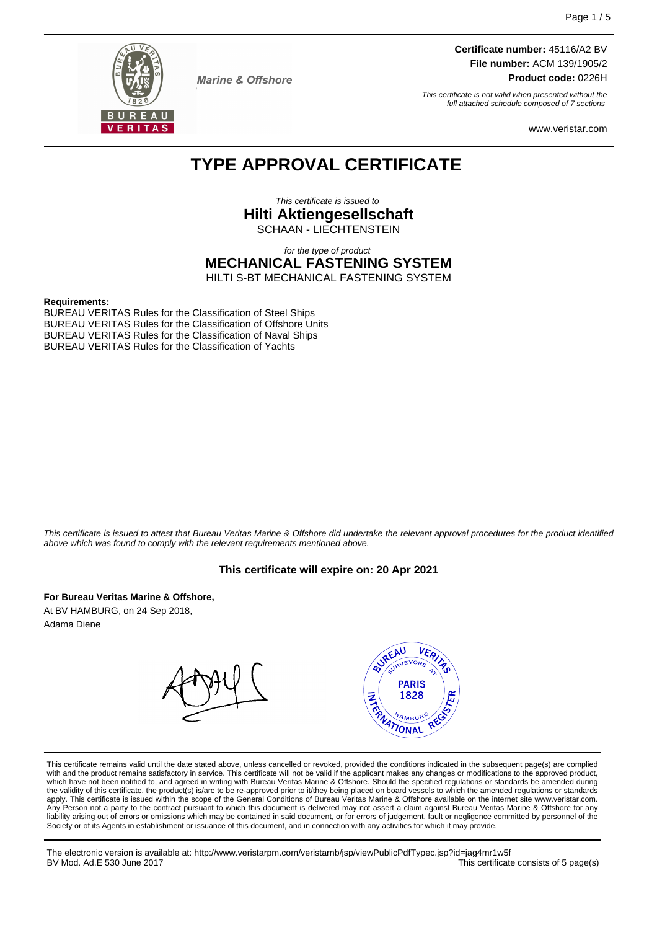

**Marine & Offshore** 

**Certificate number:** 45116/A2 BV **File number:** ACM 139/1905/2 **Product code:** 0226H

This certificate is not valid when presented without the full attached schedule composed of 7 sections

www.veristar.com

## **TYPE APPROVAL CERTIFICATE**

This certificate is issued to **Hilti Aktiengesellschaft** SCHAAN - LIECHTENSTEIN

for the type of product

**MECHANICAL FASTENING SYSTEM**

HILTI S-BT MECHANICAL FASTENING SYSTEM

#### **Requirements:**

BUREAU VERITAS Rules for the Classification of Steel Ships BUREAU VERITAS Rules for the Classification of Offshore Units BUREAU VERITAS Rules for the Classification of Naval Ships BUREAU VERITAS Rules for the Classification of Yachts

This certificate is issued to attest that Bureau Veritas Marine & Offshore did undertake the relevant approval procedures for the product identified above which was found to comply with the relevant requirements mentioned above.

#### **This certificate will expire on: 20 Apr 2021**

**For Bureau Veritas Marine & Offshore,** At BV HAMBURG, on 24 Sep 2018, Adama Diene



This certificate remains valid until the date stated above, unless cancelled or revoked, provided the conditions indicated in the subsequent page(s) are complied with and the product remains satisfactory in service. This certificate will not be valid if the applicant makes any changes or modifications to the approved product, which have not been notified to, and agreed in writing with Bureau Veritas Marine & Offshore. Should the specified regulations or standards be amended during<br>the validity of this certificate, the product(s) is/are to be re apply. This certificate is issued within the scope of the General Conditions of Bureau Veritas Marine & Offshore available on the internet site www.veristar.com. Any Person not a party to the contract pursuant to which this document is delivered may not assert a claim against Bureau Veritas Marine & Offshore for any liability arising out of errors or omissions which may be contained in said document, or for errors of judgement, fault or negligence committed by personnel of the<br>Society or of its Agents in establishment or issuance of t

The electronic version is available at: http://www.veristarpm.com/veristarnb/jsp/viewPublicPdfTypec.jsp?id=jag4mr1w5f This certificate consists of 5 page(s)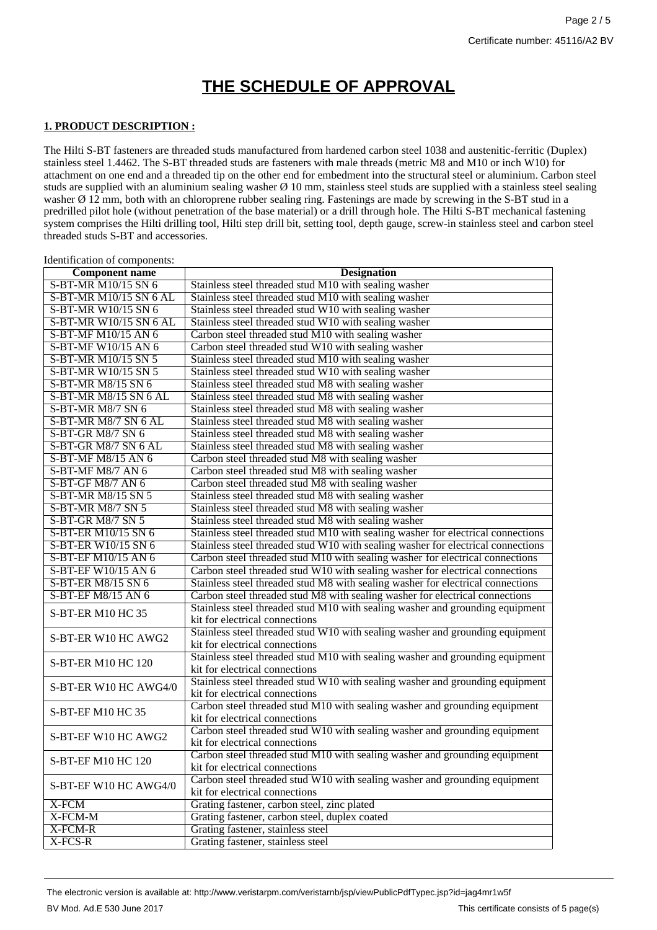# **THE SCHEDULE OF APPROVAL**

#### **1. PRODUCT DESCRIPTION :**

Identification of components:

The Hilti S-BT fasteners are threaded studs manufactured from hardened carbon steel 1038 and austenitic-ferritic (Duplex) stainless steel 1.4462. The S-BT threaded studs are fasteners with male threads (metric M8 and M10 or inch W10) for attachment on one end and a threaded tip on the other end for embedment into the structural steel or aluminium. Carbon steel studs are supplied with an aluminium sealing washer  $\varnothing$  10 mm, stainless steel studs are supplied with a stainless steel sealing washer  $\emptyset$  12 mm, both with an chloroprene rubber sealing ring. Fastenings are made by screwing in the S-BT stud in a predrilled pilot hole (without penetration of the base material) or a drill through hole. The Hilti S-BT mechanical fastening system comprises the Hilti drilling tool, Hilti step drill bit, setting tool, depth gauge, screw-in stainless steel and carbon steel threaded studs S-BT and accessories.

| <b>Component name</b>    | <b>Designation</b>                                                                                       |
|--------------------------|----------------------------------------------------------------------------------------------------------|
| S-BT-MR M10/15 SN 6      | Stainless steel threaded stud M10 with sealing washer                                                    |
| S-BT-MR M10/15 SN 6 AL   | Stainless steel threaded stud M10 with sealing washer                                                    |
| S-BT-MR W10/15 SN 6      | Stainless steel threaded stud W10 with sealing washer                                                    |
| S-BT-MR W10/15 SN 6 AL   | Stainless steel threaded stud W10 with sealing washer                                                    |
| S-BT-MF M10/15 AN 6      |                                                                                                          |
| S-BT-MF W10/15 AN 6      | Carbon steel threaded stud M10 with sealing washer<br>Carbon steel threaded stud W10 with sealing washer |
|                          |                                                                                                          |
| S-BT-MR M10/15 SN 5      | Stainless steel threaded stud M10 with sealing washer                                                    |
| S-BT-MR W10/15 SN 5      | Stainless steel threaded stud W10 with sealing washer                                                    |
| S-BT-MR M8/15 SN 6       | Stainless steel threaded stud M8 with sealing washer                                                     |
| S-BT-MR M8/15 SN 6 AL    | Stainless steel threaded stud M8 with sealing washer                                                     |
| <b>S-BT-MR M8/7 SN 6</b> | Stainless steel threaded stud M8 with sealing washer                                                     |
| S-BT-MR M8/7 SN 6 AL     | Stainless steel threaded stud M8 with sealing washer                                                     |
| S-BT-GR M8/7 SN 6        | Stainless steel threaded stud M8 with sealing washer                                                     |
| S-BT-GR M8/7 SN 6 AL     | Stainless steel threaded stud M8 with sealing washer                                                     |
| S-BT-MF M8/15 AN 6       | Carbon steel threaded stud M8 with sealing washer                                                        |
| S-BT-MF M8/7 AN 6        | Carbon steel threaded stud M8 with sealing washer                                                        |
| S-BT-GF M8/7 AN 6        | Carbon steel threaded stud M8 with sealing washer                                                        |
| S-BT-MR M8/15 SN 5       | Stainless steel threaded stud M8 with sealing washer                                                     |
| S-BT-MR M8/7 SN 5        | Stainless steel threaded stud M8 with sealing washer                                                     |
| S-BT-GR M8/7 SN 5        | Stainless steel threaded stud M8 with sealing washer                                                     |
| S-BT-ER M10/15 SN 6      | Stainless steel threaded stud M10 with sealing washer for electrical connections                         |
| S-BT-ER W10/15 SN 6      | Stainless steel threaded stud W10 with sealing washer for electrical connections                         |
| S-BT-EF M10/15 AN 6      | Carbon steel threaded stud M10 with sealing washer for electrical connections                            |
| S-BT-EF W10/15 AN 6      | Carbon steel threaded stud W10 with sealing washer for electrical connections                            |
| S-BT-ER M8/15 SN 6       | Stainless steel threaded stud M8 with sealing washer for electrical connections                          |
| S-BT-EF M8/15 AN 6       | Carbon steel threaded stud M8 with sealing washer for electrical connections                             |
| S-BT-ER M10 HC 35        | Stainless steel threaded stud M10 with sealing washer and grounding equipment                            |
|                          | kit for electrical connections                                                                           |
| S-BT-ER W10 HC AWG2      | Stainless steel threaded stud W10 with sealing washer and grounding equipment                            |
|                          | kit for electrical connections                                                                           |
| S-BT-ER M10 HC 120       | Stainless steel threaded stud M10 with sealing washer and grounding equipment                            |
|                          | kit for electrical connections                                                                           |
| S-BT-ER W10 HC AWG4/0    | Stainless steel threaded stud W10 with sealing washer and grounding equipment                            |
|                          | kit for electrical connections                                                                           |
| S-BT-EF M10 HC 35        | Carbon steel threaded stud M10 with sealing washer and grounding equipment                               |
|                          | kit for electrical connections                                                                           |
| S-BT-EF W10 HC AWG2      | Carbon steel threaded stud W10 with sealing washer and grounding equipment                               |
|                          | kit for electrical connections                                                                           |
| S-BT-EF M10 HC 120       | Carbon steel threaded stud M10 with sealing washer and grounding equipment                               |
|                          | kit for electrical connections                                                                           |
| S-BT-EF W10 HC AWG4/0    | Carbon steel threaded stud W10 with sealing washer and grounding equipment                               |
|                          | kit for electrical connections                                                                           |
| X-FCM                    | Grating fastener, carbon steel, zinc plated                                                              |
| $X$ -FCM-M               | Grating fastener, carbon steel, duplex coated                                                            |
| X-FCM-R                  | Grating fastener, stainless steel                                                                        |
| $X-FCS-R$                | Grating fastener, stainless steel                                                                        |
|                          |                                                                                                          |

The electronic version is available at: http://www.veristarpm.com/veristarnb/jsp/viewPublicPdfTypec.jsp?id=jag4mr1w5f BV Mod. Ad.E 530 June 2017 **This certificate consists of 5 page(s)**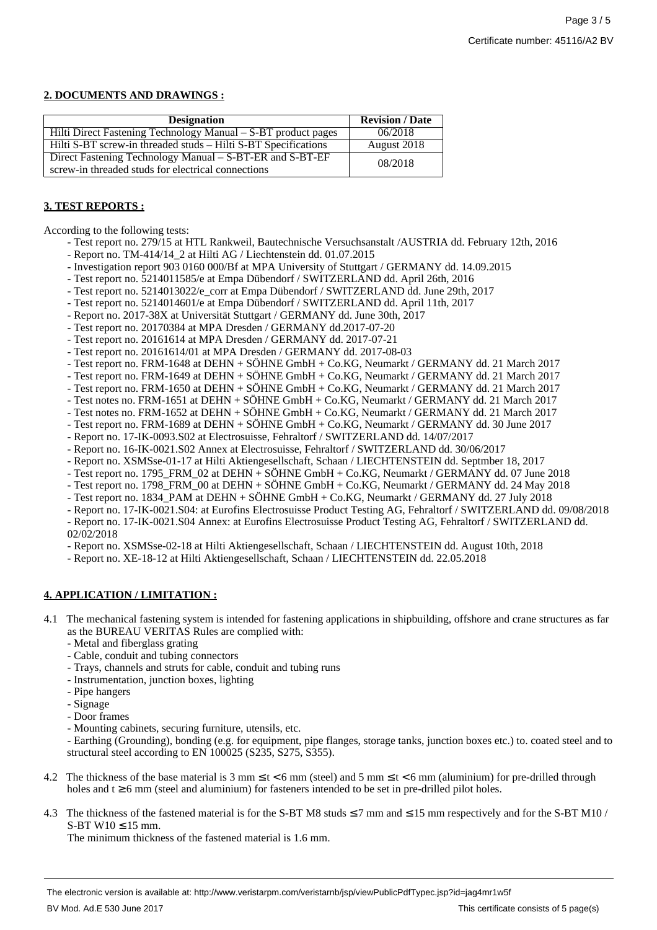#### **2. DOCUMENTS AND DRAWINGS :**

| <b>Designation</b>                                                                                             | <b>Revision / Date</b> |
|----------------------------------------------------------------------------------------------------------------|------------------------|
| Hilti Direct Fastening Technology Manual – S-BT product pages                                                  | 06/2018                |
| Hilti S-BT screw-in threaded studs – Hilti S-BT Specifications                                                 | August 2018            |
| Direct Fastening Technology Manual – S-BT-ER and S-BT-EF<br>screw-in threaded studs for electrical connections | 08/2018                |

#### **3. TEST REPORTS :**

According to the following tests:

- Test report no. 279/15 at HTL Rankweil, Bautechnische Versuchsanstalt /AUSTRIA dd. February 12th, 2016
- Report no. TM-414/14\_2 at Hilti AG / Liechtenstein dd. 01.07.2015
- Investigation report 903 0160 000/Bf at MPA University of Stuttgart / GERMANY dd. 14.09.2015
- Test report no. 5214011585/e at Empa Dübendorf / SWITZERLAND dd. April 26th, 2016
- Test report no. 5214013022/e\_corr at Empa Dübendorf / SWITZERLAND dd. June 29th, 2017
- Test report no. 5214014601/e at Empa Dübendorf / SWITZERLAND dd. April 11th, 2017
- Report no. 2017-38X at Universität Stuttgart / GERMANY dd. June 30th, 2017
- Test report no. 20170384 at MPA Dresden / GERMANY dd.2017-07-20
- Test report no. 20161614 at MPA Dresden / GERMANY dd. 2017-07-21
- Test report no. 20161614/01 at MPA Dresden / GERMANY dd. 2017-08-03
- Test report no. FRM-1648 at DEHN + SÖHNE GmbH + Co.KG, Neumarkt / GERMANY dd. 21 March 2017
- Test report no. FRM-1649 at DEHN + SÖHNE GmbH + Co.KG, Neumarkt / GERMANY dd. 21 March 2017
- Test report no. FRM-1650 at DEHN + SÖHNE GmbH + Co.KG, Neumarkt / GERMANY dd. 21 March 2017
- Test notes no. FRM-1651 at DEHN + SÖHNE GmbH + Co.KG, Neumarkt / GERMANY dd. 21 March 2017
- Test notes no. FRM-1652 at DEHN + SÖHNE GmbH + Co.KG, Neumarkt / GERMANY dd. 21 March 2017
- Test report no. FRM-1689 at DEHN + SÖHNE GmbH + Co.KG, Neumarkt / GERMANY dd. 30 June 2017
- Report no. 17-IK-0093.S02 at Electrosuisse, Fehraltorf / SWITZERLAND dd. 14/07/2017
- Report no. 16-IK-0021.S02 Annex at Electrosuisse, Fehraltorf / SWITZERLAND dd. 30/06/2017
- Report no. XSMSse-01-17 at Hilti Aktiengesellschaft, Schaan / LIECHTENSTEIN dd. Septmber 18, 2017
- Test report no. 1795\_FRM\_02 at DEHN + SÖHNE GmbH + Co.KG, Neumarkt / GERMANY dd. 07 June 2018
- Test report no. 1798\_FRM\_00 at DEHN + SÖHNE GmbH + Co.KG, Neumarkt / GERMANY dd. 24 May 2018
- Test report no. 1834\_PAM at DEHN + SÖHNE GmbH + Co.KG, Neumarkt / GERMANY dd. 27 July 2018
- Report no. 17-IK-0021.S04: at Eurofins Electrosuisse Product Testing AG, Fehraltorf / SWITZERLAND dd. 09/08/2018 - Report no. 17-IK-0021.S04 Annex: at Eurofins Electrosuisse Product Testing AG, Fehraltorf / SWITZERLAND dd.
- 02/02/2018
- Report no. XSMSse-02-18 at Hilti Aktiengesellschaft, Schaan / LIECHTENSTEIN dd. August 10th, 2018
- Report no. XE-18-12 at Hilti Aktiengesellschaft, Schaan / LIECHTENSTEIN dd. 22.05.2018

### **4. APPLICATION / LIMITATION :**

- 4.1 The mechanical fastening system is intended for fastening applications in shipbuilding, offshore and crane structures as far as the BUREAU VERITAS Rules are complied with:
	- Metal and fiberglass grating
	- Cable, conduit and tubing connectors
	- Trays, channels and struts for cable, conduit and tubing runs
	- Instrumentation, junction boxes, lighting
	- Pipe hangers
	- Signage
	- Door frames
	- Mounting cabinets, securing furniture, utensils, etc.

- Earthing (Grounding), bonding (e.g. for equipment, pipe flanges, storage tanks, junction boxes etc.) to. coated steel and to structural steel according to EN 100025 (S235, S275, S355).

- 4.2 The thickness of the base material is 3 mm  $\leq t < 6$  mm (steel) and 5 mm  $\leq t < 6$  mm (aluminium) for pre-drilled through holes and  $t \ge 6$  mm (steel and aluminium) for fasteners intended to be set in pre-drilled pilot holes.
- 4.3 The thickness of the fastened material is for the S-BT M8 studs  $\leq$  7 mm and  $\leq$  15 mm respectively and for the S-BT M10 /  $S-BT W10 \le 15$  mm.

The minimum thickness of the fastened material is 1.6 mm.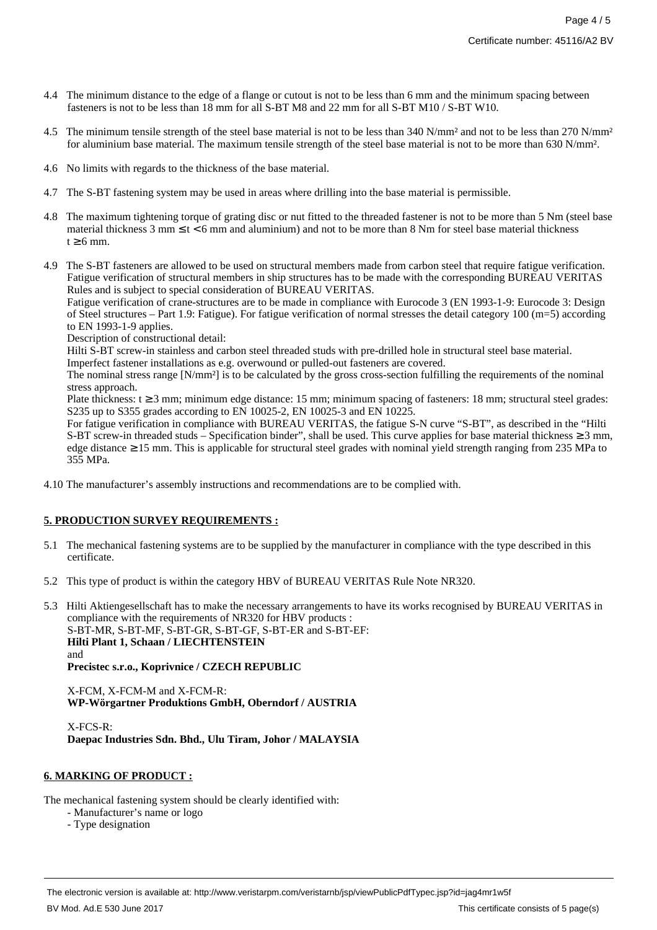- 4.4 The minimum distance to the edge of a flange or cutout is not to be less than 6 mm and the minimum spacing between fasteners is not to be less than 18 mm for all S-BT M8 and 22 mm for all S-BT M10 / S-BT W10.
- 4.5 The minimum tensile strength of the steel base material is not to be less than 340 N/mm<sup>2</sup> and not to be less than 270 N/mm<sup>2</sup> for aluminium base material. The maximum tensile strength of the steel base material is not to be more than 630 N/mm².
- 4.6 No limits with regards to the thickness of the base material.
- 4.7 The S-BT fastening system may be used in areas where drilling into the base material is permissible.
- 4.8 The maximum tightening torque of grating disc or nut fitted to the threaded fastener is not to be more than 5 Nm (steel base material thickness  $3 \text{ mm} \leq t < 6 \text{ mm}$  and aluminium) and not to be more than  $8 \text{ Nm}$  for steel base material thickness  $t \geq 6$  mm.
- 4.9 The S-BT fasteners are allowed to be used on structural members made from carbon steel that require fatigue verification. Fatigue verification of structural members in ship structures has to be made with the corresponding BUREAU VERITAS Rules and is subject to special consideration of BUREAU VERITAS.

Fatigue verification of crane-structures are to be made in compliance with Eurocode 3 (EN 1993-1-9: Eurocode 3: Design of Steel structures – Part 1.9: Fatigue). For fatigue verification of normal stresses the detail category 100 (m=5) according to EN 1993-1-9 applies.

Description of constructional detail:

Hilti S-BT screw-in stainless and carbon steel threaded studs with pre-drilled hole in structural steel base material.

Imperfect fastener installations as e.g. overwound or pulled-out fasteners are covered.

The nominal stress range [N/mm²] is to be calculated by the gross cross-section fulfilling the requirements of the nominal stress approach.

Plate thickness:  $t \ge 3$  mm; minimum edge distance: 15 mm; minimum spacing of fasteners: 18 mm; structural steel grades: S235 up to S355 grades according to EN 10025-2, EN 10025-3 and EN 10225.

For fatigue verification in compliance with BUREAU VERITAS, the fatigue S-N curve "S-BT", as described in the "Hilti S-BT screw-in threaded studs – Specification binder", shall be used. This curve applies for base material thickness  $\geq 3$  mm, edge distance ≥ 15 mm. This is applicable for structural steel grades with nominal yield strength ranging from 235 MPa to 355 MPa.

4.10 The manufacturer's assembly instructions and recommendations are to be complied with.

### **5. PRODUCTION SURVEY REQUIREMENTS :**

- 5.1 The mechanical fastening systems are to be supplied by the manufacturer in compliance with the type described in this certificate.
- 5.2 This type of product is within the category HBV of BUREAU VERITAS Rule Note NR320.
- 5.3 Hilti Aktiengesellschaft has to make the necessary arrangements to have its works recognised by BUREAU VERITAS in compliance with the requirements of NR320 for HBV products : S-BT-MR, S-BT-MF, S-BT-GR, S-BT-GF, S-BT-ER and S-BT-EF: **Hilti Plant 1, Schaan / LIECHTENSTEIN** and **Precistec s.r.o., Koprivnice / CZECH REPUBLIC**

X-FCM, X-FCM-M and X-FCM-R:

**WP-Wörgartner Produktions GmbH, Oberndorf / AUSTRIA**

X-FCS-R: **Daepac Industries Sdn. Bhd., Ulu Tiram, Johor / MALAYSIA**

#### **6. MARKING OF PRODUCT :**

The mechanical fastening system should be clearly identified with:

- Manufacturer's name or logo
- Type designation